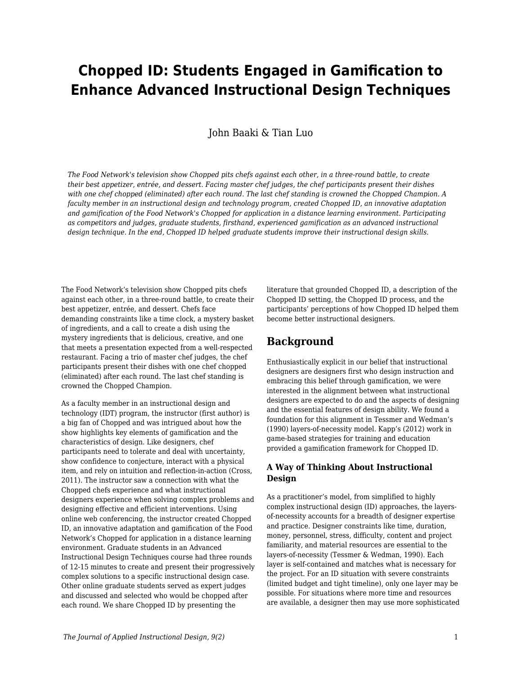# **Chopped ID: Students Engaged in Gamification to Enhance Advanced Instructional Design Techniques**

### John Baaki & Tian Luo

*The Food Network's television show Chopped pits chefs against each other, in a three-round battle, to create their best appetizer, entrée, and dessert. Facing master chef judges, the chef participants present their dishes with one chef chopped (eliminated) after each round. The last chef standing is crowned the Chopped Champion. A faculty member in an instructional design and technology program, created Chopped ID, an innovative adaptation and gamification of the Food Network's Chopped for application in a distance learning environment. Participating as competitors and judges, graduate students, firsthand, experienced gamification as an advanced instructional design technique. In the end, Chopped ID helped graduate students improve their instructional design skills.*

The Food Network's television show Chopped pits chefs against each other, in a three-round battle, to create their best appetizer, entrée, and dessert. Chefs face demanding constraints like a time clock, a mystery basket of ingredients, and a call to create a dish using the mystery ingredients that is delicious, creative, and one that meets a presentation expected from a well-respected restaurant. Facing a trio of master chef judges, the chef participants present their dishes with one chef chopped (eliminated) after each round. The last chef standing is crowned the Chopped Champion.

As a faculty member in an instructional design and technology (IDT) program, the instructor (first author) is a big fan of Chopped and was intrigued about how the show highlights key elements of gamification and the characteristics of design. Like designers, chef participants need to tolerate and deal with uncertainty, show confidence to conjecture, interact with a physical item, and rely on intuition and reflection-in-action (Cross, 2011). The instructor saw a connection with what the Chopped chefs experience and what instructional designers experience when solving complex problems and designing effective and efficient interventions. Using online web conferencing, the instructor created Chopped ID, an innovative adaptation and gamification of the Food Network's Chopped for application in a distance learning environment. Graduate students in an Advanced Instructional Design Techniques course had three rounds of 12-15 minutes to create and present their progressively complex solutions to a specific instructional design case. Other online graduate students served as expert judges and discussed and selected who would be chopped after each round. We share Chopped ID by presenting the

literature that grounded Chopped ID, a description of the Chopped ID setting, the Chopped ID process, and the participants' perceptions of how Chopped ID helped them become better instructional designers.

## **Background**

Enthusiastically explicit in our belief that instructional designers are designers first who design instruction and embracing this belief through gamification, we were interested in the alignment between what instructional designers are expected to do and the aspects of designing and the essential features of design ability. We found a foundation for this alignment in Tessmer and Wedman's (1990) layers-of-necessity model. Kapp's (2012) work in game-based strategies for training and education provided a gamification framework for Chopped ID.

### **A Way of Thinking About Instructional Design**

As a practitioner's model, from simplified to highly complex instructional design (ID) approaches, the layersof-necessity accounts for a breadth of designer expertise and practice. Designer constraints like time, duration, money, personnel, stress, difficulty, content and project familiarity, and material resources are essential to the layers-of-necessity (Tessmer & Wedman, 1990). Each layer is self-contained and matches what is necessary for the project. For an ID situation with severe constraints (limited budget and tight timeline), only one layer may be possible. For situations where more time and resources are available, a designer then may use more sophisticated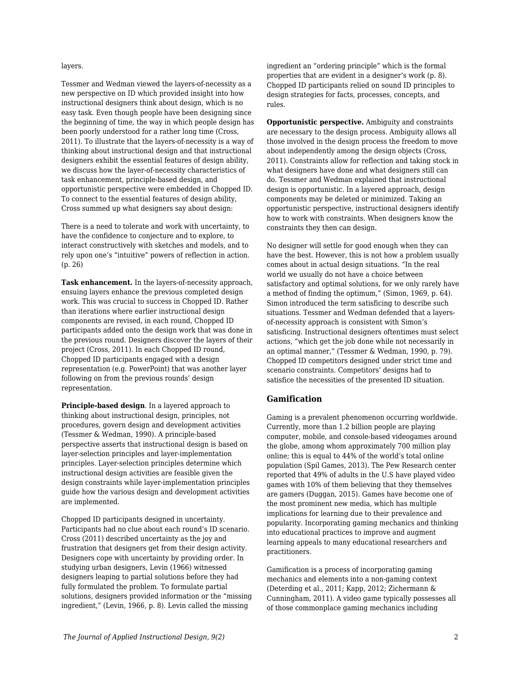#### layers.

Tessmer and Wedman viewed the layers-of-necessity as a new perspective on ID which provided insight into how instructional designers think about design, which is no easy task. Even though people have been designing since the beginning of time, the way in which people design has been poorly understood for a rather long time (Cross, 2011). To illustrate that the layers-of-necessity is a way of thinking about instructional design and that instructional designers exhibit the essential features of design ability, we discuss how the layer-of-necessity characteristics of task enhancement, principle-based design, and opportunistic perspective were embedded in Chopped ID. To connect to the essential features of design ability, Cross summed up what designers say about design:

There is a need to tolerate and work with uncertainty, to have the confidence to conjecture and to explore, to interact constructively with sketches and models, and to rely upon one's "intuitive" powers of reflection in action. (p. 26)

**Task enhancement.** In the layers-of-necessity approach, ensuing layers enhance the previous completed design work. This was crucial to success in Chopped ID. Rather than iterations where earlier instructional design components are revised, in each round, Chopped ID participants added onto the design work that was done in the previous round. Designers discover the layers of their project (Cross, 2011). In each Chopped ID round, Chopped ID participants engaged with a design representation (e.g. PowerPoint) that was another layer following on from the previous rounds' design representation.

**Principle-based design**. In a layered approach to thinking about instructional design, principles, not procedures, govern design and development activities (Tessmer & Wedman, 1990). A principle-based perspective asserts that instructional design is based on layer-selection principles and layer-implementation principles. Layer-selection principles determine which instructional design activities are feasible given the design constraints while layer-implementation principles guide how the various design and development activities are implemented.

Chopped ID participants designed in uncertainty. Participants had no clue about each round's ID scenario. Cross (2011) described uncertainty as the joy and frustration that designers get from their design activity. Designers cope with uncertainty by providing order. In studying urban designers, Levin (1966) witnessed designers leaping to partial solutions before they had fully formulated the problem. To formulate partial solutions, designers provided information or the "missing ingredient," (Levin, 1966, p. 8). Levin called the missing

ingredient an "ordering principle" which is the formal properties that are evident in a designer's work (p. 8). Chopped ID participants relied on sound ID principles to design strategies for facts, processes, concepts, and rules.

**Opportunistic perspective.** Ambiguity and constraints are necessary to the design process. Ambiguity allows all those involved in the design process the freedom to move about independently among the design objects (Cross, 2011). Constraints allow for reflection and taking stock in what designers have done and what designers still can do. Tessmer and Wedman explained that instructional design is opportunistic. In a layered approach, design components may be deleted or minimized. Taking an opportunistic perspective, instructional designers identify how to work with constraints. When designers know the constraints they then can design.

No designer will settle for good enough when they can have the best. However, this is not how a problem usually comes about in actual design situations. "In the real world we usually do not have a choice between satisfactory and optimal solutions, for we only rarely have a method of finding the optimum," (Simon, 1969, p. 64). Simon introduced the term satisficing to describe such situations. Tessmer and Wedman defended that a layersof-necessity approach is consistent with Simon's satisficing. Instructional designers oftentimes must select actions, "which get the job done while not necessarily in an optimal manner," (Tessmer & Wedman, 1990, p. 79). Chopped ID competitors designed under strict time and scenario constraints. Competitors' designs had to satisfice the necessities of the presented ID situation.

#### **Gamification**

Gaming is a prevalent phenomenon occurring worldwide. Currently, more than 1.2 billion people are playing computer, mobile, and console-based videogames around the globe, among whom approximately 700 million play online; this is equal to 44% of the world's total online population (Spil Games, 2013). The Pew Research center reported that 49% of adults in the U.S have played video games with 10% of them believing that they themselves are gamers (Duggan, 2015). Games have become one of the most prominent new media, which has multiple implications for learning due to their prevalence and popularity. Incorporating gaming mechanics and thinking into educational practices to improve and augment learning appeals to many educational researchers and practitioners.

Gamification is a process of incorporating gaming mechanics and elements into a non-gaming context (Deterding et al., 2011; Kapp, 2012; Zichermann & Cunningham, 2011). A video game typically possesses all of those commonplace gaming mechanics including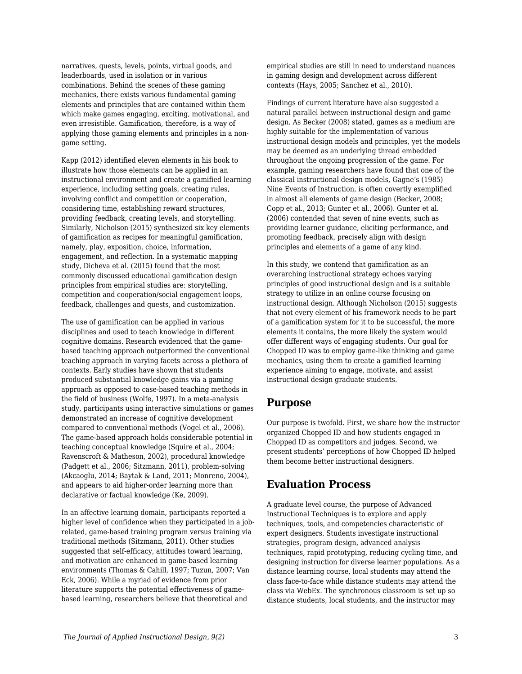narratives, quests, levels, points, virtual goods, and leaderboards, used in isolation or in various combinations. Behind the scenes of these gaming mechanics, there exists various fundamental gaming elements and principles that are contained within them which make games engaging, exciting, motivational, and even irresistible. Gamification, therefore, is a way of applying those gaming elements and principles in a nongame setting.

Kapp (2012) identified eleven elements in his book to illustrate how those elements can be applied in an instructional environment and create a gamified learning experience, including setting goals, creating rules, involving conflict and competition or cooperation, considering time, establishing reward structures, providing feedback, creating levels, and storytelling. Similarly, Nicholson (2015) synthesized six key elements of gamification as recipes for meaningful gamification, namely, play, exposition, choice, information, engagement, and reflection. In a systematic mapping study, Dicheva et al. (2015) found that the most commonly discussed educational gamification design principles from empirical studies are: storytelling, competition and cooperation/social engagement loops, feedback, challenges and quests, and customization.

The use of gamification can be applied in various disciplines and used to teach knowledge in different cognitive domains. Research evidenced that the gamebased teaching approach outperformed the conventional teaching approach in varying facets across a plethora of contexts. Early studies have shown that students produced substantial knowledge gains via a gaming approach as opposed to case-based teaching methods in the field of business (Wolfe, 1997). In a meta-analysis study, participants using interactive simulations or games demonstrated an increase of cognitive development compared to conventional methods (Vogel et al., 2006). The game-based approach holds considerable potential in teaching conceptual knowledge (Squire et al., 2004; Ravenscroft & Matheson, 2002), procedural knowledge (Padgett et al., 2006; Sitzmann, 2011), problem-solving (Akcaoglu, 2014; Baytak & Land, 2011; Monreno, 2004), and appears to aid higher-order learning more than declarative or factual knowledge (Ke, 2009).

In an affective learning domain, participants reported a higher level of confidence when they participated in a jobrelated, game-based training program versus training via traditional methods (Sitzmann, 2011). Other studies suggested that self-efficacy, attitudes toward learning, and motivation are enhanced in game-based learning environments (Thomas & Cahill, 1997; Tuzun, 2007; Van Eck, 2006). While a myriad of evidence from prior literature supports the potential effectiveness of gamebased learning, researchers believe that theoretical and

empirical studies are still in need to understand nuances in gaming design and development across different contexts (Hays, 2005; Sanchez et al., 2010).

Findings of current literature have also suggested a natural parallel between instructional design and game design. As Becker (2008) stated, games as a medium are highly suitable for the implementation of various instructional design models and principles, yet the models may be deemed as an underlying thread embedded throughout the ongoing progression of the game. For example, gaming researchers have found that one of the classical instructional design models, Gagne's (1985) Nine Events of Instruction, is often covertly exemplified in almost all elements of game design (Becker, 2008; Copp et al., 2013; Gunter et al., 2006). Gunter et al. (2006) contended that seven of nine events, such as providing learner guidance, eliciting performance, and promoting feedback, precisely align with design principles and elements of a game of any kind.

In this study, we contend that gamification as an overarching instructional strategy echoes varying principles of good instructional design and is a suitable strategy to utilize in an online course focusing on instructional design. Although Nicholson (2015) suggests that not every element of his framework needs to be part of a gamification system for it to be successful, the more elements it contains, the more likely the system would offer different ways of engaging students. Our goal for Chopped ID was to employ game-like thinking and game mechanics, using them to create a gamified learning experience aiming to engage, motivate, and assist instructional design graduate students.

## **Purpose**

Our purpose is twofold. First, we share how the instructor organized Chopped ID and how students engaged in Chopped ID as competitors and judges. Second, we present students' perceptions of how Chopped ID helped them become better instructional designers.

## **Evaluation Process**

A graduate level course, the purpose of Advanced Instructional Techniques is to explore and apply techniques, tools, and competencies characteristic of expert designers. Students investigate instructional strategies, program design, advanced analysis techniques, rapid prototyping, reducing cycling time, and designing instruction for diverse learner populations. As a distance learning course, local students may attend the class face-to-face while distance students may attend the class via WebEx. The synchronous classroom is set up so distance students, local students, and the instructor may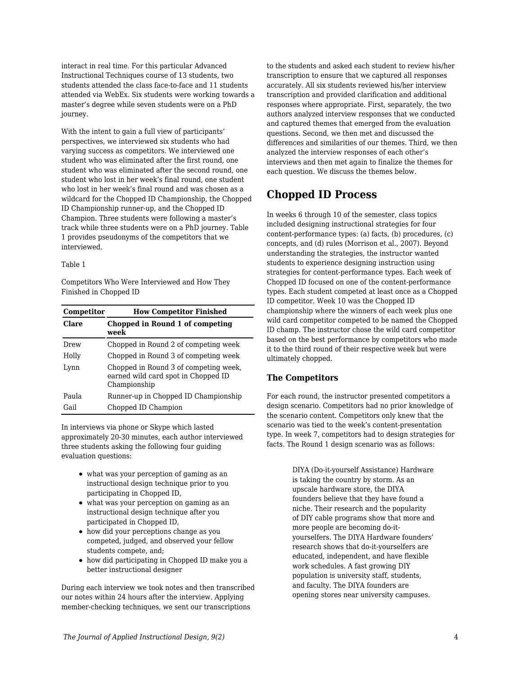interact in real time. For this particular Advanced Instructional Techniques course of 13 students, two students attended the class face-to-face and 11 students attended via WebEx. Six students were working towards a master's degree while seven students were on a PhD journey.

With the intent to gain a full view of participants' perspectives, we interviewed six students who had varying success as competitors. We interviewed one student who was eliminated after the first round, one student who was eliminated after the second round, one student who lost in her week's final round, one student who lost in her week's final round and was chosen as a wildcard for the Chopped ID Championship, the Chopped ID Championship runner-up, and the Chopped ID Champion. Three students were following a master's track while three students were on a PhD journey. Table 1 provides pseudonyms of the competitors that we interviewed.

#### Table 1

Competitors Who Were Interviewed and How They Finished in Chopped ID

| Competitor   | <b>How Competitor Finished</b>                                                               |
|--------------|----------------------------------------------------------------------------------------------|
| <b>Clare</b> | Chopped in Round 1 of competing<br>week                                                      |
| Drew         | Chopped in Round 2 of competing week                                                         |
| Holly        | Chopped in Round 3 of competing week                                                         |
| Lynn         | Chopped in Round 3 of competing week.<br>earned wild card spot in Chopped ID<br>Championship |
| Paula        | Runner-up in Chopped ID Championship                                                         |
| Gail         | Chopped ID Champion                                                                          |

In interviews via phone or Skype which lasted approximately 20-30 minutes, each author interviewed three students asking the following four guiding evaluation questions:

- what was your perception of gaming as an instructional design technique prior to you participating in Chopped ID,
- what was your perception on gaming as an instructional design technique after you participated in Chopped ID,
- how did your perceptions change as you competed, judged, and observed your fellow students compete, and;
- how did participating in Chopped ID make you a better instructional designer

During each interview we took notes and then transcribed our notes within 24 hours after the interview. Applying member-checking techniques, we sent our transcriptions

to the students and asked each student to review his/her transcription to ensure that we captured all responses accurately. All six students reviewed his/her interview transcription and provided clarification and additional responses where appropriate. First, separately, the two authors analyzed interview responses that we conducted and captured themes that emerged from the evaluation questions. Second, we then met and discussed the differences and similarities of our themes. Third, we then analyzed the interview responses of each other's interviews and then met again to finalize the themes for each question. We discuss the themes below.

## **Chopped ID Process**

In weeks 6 through 10 of the semester, class topics included designing instructional strategies for four content-performance types: (a) facts, (b) procedures, (c) concepts, and (d) rules (Morrison et al., 2007). Beyond understanding the strategies, the instructor wanted students to experience designing instruction using strategies for content-performance types. Each week of Chopped ID focused on one of the content-performance types. Each student competed at least once as a Chopped ID competitor. Week 10 was the Chopped ID championship where the winners of each week plus one wild card competitor competed to be named the Chopped ID champ. The instructor chose the wild card competitor based on the best performance by competitors who made it to the third round of their respective week but were ultimately chopped.

### **The Competitors**

For each round, the instructor presented competitors a design scenario. Competitors had no prior knowledge of the scenario content. Competitors only knew that the scenario was tied to the week's content-presentation type. In week 7, competitors had to design strategies for facts. The Round 1 design scenario was as follows:

> DIYA (Do-it-yourself Assistance) Hardware is taking the country by storm. As an upscale hardware store, the DIYA founders believe that they have found a niche. Their research and the popularity of DIY cable programs show that more and more people are becoming do-ityourselfers. The DIYA Hardware founders' research shows that do-it-yourselfers are educated, independent, and have flexible work schedules. A fast growing DIY population is university staff, students, and faculty. The DIYA founders are opening stores near university campuses.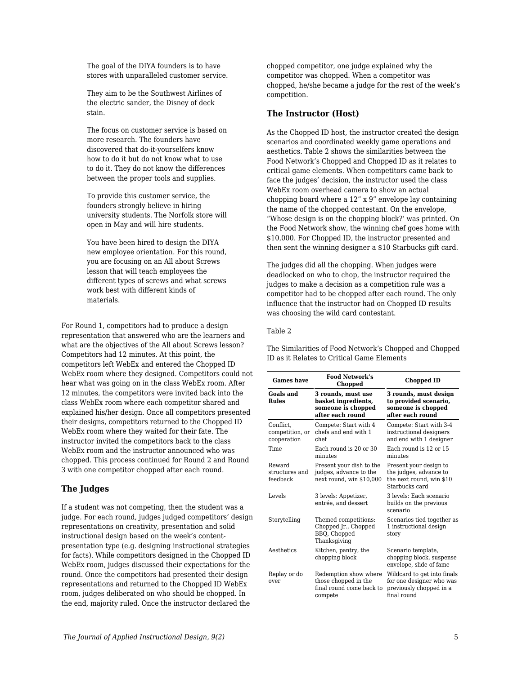The goal of the DIYA founders is to have stores with unparalleled customer service.

They aim to be the Southwest Airlines of the electric sander, the Disney of deck stain.

The focus on customer service is based on more research. The founders have discovered that do-it-yourselfers know how to do it but do not know what to use to do it. They do not know the differences between the proper tools and supplies.

To provide this customer service, the founders strongly believe in hiring university students. The Norfolk store will open in May and will hire students.

You have been hired to design the DIYA new employee orientation. For this round, you are focusing on an All about Screws lesson that will teach employees the different types of screws and what screws work best with different kinds of materials.

For Round 1, competitors had to produce a design representation that answered who are the learners and what are the objectives of the All about Screws lesson? Competitors had 12 minutes. At this point, the competitors left WebEx and entered the Chopped ID WebEx room where they designed. Competitors could not hear what was going on in the class WebEx room. After 12 minutes, the competitors were invited back into the class WebEx room where each competitor shared and explained his/her design. Once all competitors presented their designs, competitors returned to the Chopped ID WebEx room where they waited for their fate. The instructor invited the competitors back to the class WebEx room and the instructor announced who was chopped. This process continued for Round 2 and Round 3 with one competitor chopped after each round.

### **The Judges**

If a student was not competing, then the student was a judge. For each round, judges judged competitors' design representations on creativity, presentation and solid instructional design based on the week's contentpresentation type (e.g. designing instructional strategies for facts). While competitors designed in the Chopped ID WebEx room, judges discussed their expectations for the round. Once the competitors had presented their design representations and returned to the Chopped ID WebEx room, judges deliberated on who should be chopped. In the end, majority ruled. Once the instructor declared the

chopped competitor, one judge explained why the competitor was chopped. When a competitor was chopped, he/she became a judge for the rest of the week's competition.

### **The Instructor (Host)**

As the Chopped ID host, the instructor created the design scenarios and coordinated weekly game operations and aesthetics. Table 2 shows the similarities between the Food Network's Chopped and Chopped ID as it relates to critical game elements. When competitors came back to face the judges' decision, the instructor used the class WebEx room overhead camera to show an actual chopping board where a 12" x 9" envelope lay containing the name of the chopped contestant. On the envelope, "Whose design is on the chopping block?' was printed. On the Food Network show, the winning chef goes home with \$10,000. For Chopped ID, the instructor presented and then sent the winning designer a \$10 Starbucks gift card.

The judges did all the chopping. When judges were deadlocked on who to chop, the instructor required the judges to make a decision as a competition rule was a competitor had to be chopped after each round. The only influence that the instructor had on Chopped ID results was choosing the wild card contestant.

#### Table 2

The Similarities of Food Network's Chopped and Chopped ID as it Relates to Critical Game Elements

| <b>Games have</b>                           | <b>Food Network's</b><br>Chopped                                                     | <b>Chopped ID</b>                                                                                 |
|---------------------------------------------|--------------------------------------------------------------------------------------|---------------------------------------------------------------------------------------------------|
| Goals and<br><b>Rules</b>                   | 3 rounds, must use<br>basket ingredients,<br>someone is chopped<br>after each round  | 3 rounds, must design<br>to provided scenario,<br>someone is chopped<br>after each round          |
| Conflict.<br>competition, or<br>cooperation | Compete: Start with 4<br>chefs and end with 1<br>chef                                | Compete: Start with 3-4<br>instructional designers<br>and end with 1 designer                     |
| Time                                        | Each round is 20 or 30<br>minutes                                                    | Each round is 12 or 15<br>minutes                                                                 |
| Reward<br>structures and<br>feedback        | Present your dish to the<br>judges, advance to the<br>next round, win \$10,000       | Present your design to<br>the judges, advance to<br>the next round, win \$10<br>Starbucks card    |
| Levels                                      | 3 levels: Appetizer,<br>entrée, and dessert                                          | 3 levels: Each scenario<br>builds on the previous<br>scenario                                     |
| Storytelling                                | Themed competitions:<br>Chopped Jr., Chopped<br>BBO, Chopped<br>Thanksgiving         | Scenarios tied together as<br>1 instructional design<br>story                                     |
| Aesthetics                                  | Kitchen, pantry, the<br>chopping block                                               | Scenario template,<br>chopping block, suspense<br>envelope, slide of fame                         |
| Replay or do<br>over                        | Redemption show where<br>those chopped in the<br>final round come back to<br>compete | Wildcard to get into finals<br>for one designer who was<br>previously chopped in a<br>final round |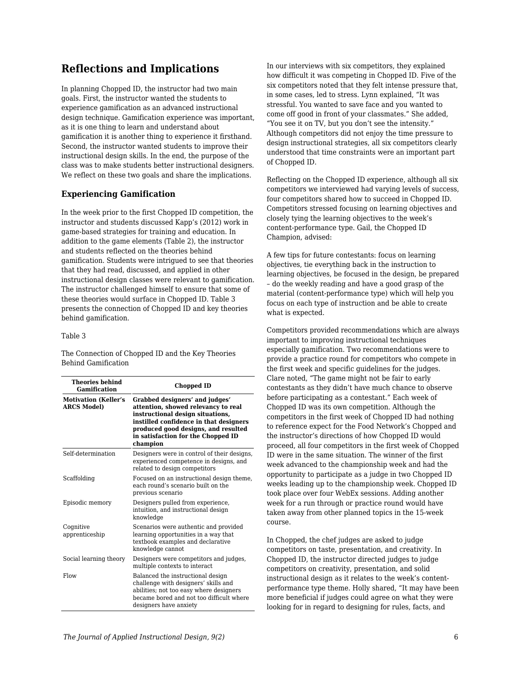## **Reflections and Implications**

In planning Chopped ID, the instructor had two main goals. First, the instructor wanted the students to experience gamification as an advanced instructional design technique. Gamification experience was important, as it is one thing to learn and understand about gamification it is another thing to experience it firsthand. Second, the instructor wanted students to improve their instructional design skills. In the end, the purpose of the class was to make students better instructional designers. We reflect on these two goals and share the implications.

### **Experiencing Gamification**

In the week prior to the first Chopped ID competition, the instructor and students discussed Kapp's (2012) work in game-based strategies for training and education. In addition to the game elements (Table 2), the instructor and students reflected on the theories behind gamification. Students were intrigued to see that theories that they had read, discussed, and applied in other instructional design classes were relevant to gamification. The instructor challenged himself to ensure that some of these theories would surface in Chopped ID. Table 3 presents the connection of Chopped ID and key theories behind gamification.

#### Table 3

The Connection of Chopped ID and the Key Theories Behind Gamification

| <b>Theories behind</b><br>Gamification            | Chopped ID                                                                                                                                                                                                                                   |  |
|---------------------------------------------------|----------------------------------------------------------------------------------------------------------------------------------------------------------------------------------------------------------------------------------------------|--|
| <b>Motivation (Keller's</b><br><b>ARCS Model)</b> | Grabbed designers' and judges'<br>attention, showed relevancy to real<br>instructional design situations,<br>instilled confidence in that designers<br>produced good designs, and resulted<br>in satisfaction for the Chopped ID<br>champion |  |
| Self-determination                                | Designers were in control of their designs,<br>experienced competence in designs, and<br>related to design competitors                                                                                                                       |  |
| Scaffolding                                       | Focused on an instructional design theme,<br>each round's scenario built on the<br>previous scenario                                                                                                                                         |  |
| Episodic memory                                   | Designers pulled from experience,<br>intuition, and instructional design<br>knowledge                                                                                                                                                        |  |
| Cognitive<br>apprenticeship                       | Scenarios were authentic and provided<br>learning opportunities in a way that<br>textbook examples and declarative<br>knowledge cannot                                                                                                       |  |
| Social learning theory                            | Designers were competitors and judges.<br>multiple contexts to interact                                                                                                                                                                      |  |
| Flow                                              | Balanced the instructional design<br>challenge with designers' skills and<br>abilities; not too easy where designers<br>became bored and not too difficult where<br>designers have anxiety                                                   |  |

In our interviews with six competitors, they explained how difficult it was competing in Chopped ID. Five of the six competitors noted that they felt intense pressure that, in some cases, led to stress. Lynn explained, "It was stressful. You wanted to save face and you wanted to come off good in front of your classmates." She added, "You see it on TV, but you don't see the intensity." Although competitors did not enjoy the time pressure to design instructional strategies, all six competitors clearly understood that time constraints were an important part of Chopped ID.

Reflecting on the Chopped ID experience, although all six competitors we interviewed had varying levels of success, four competitors shared how to succeed in Chopped ID. Competitors stressed focusing on learning objectives and closely tying the learning objectives to the week's content-performance type. Gail, the Chopped ID Champion, advised:

A few tips for future contestants: focus on learning objectives, tie everything back in the instruction to learning objectives, be focused in the design, be prepared – do the weekly reading and have a good grasp of the material (content-performance type) which will help you focus on each type of instruction and be able to create what is expected.

Competitors provided recommendations which are always important to improving instructional techniques especially gamification. Two recommendations were to provide a practice round for competitors who compete in the first week and specific guidelines for the judges. Clare noted, "The game might not be fair to early contestants as they didn't have much chance to observe before participating as a contestant." Each week of Chopped ID was its own competition. Although the competitors in the first week of Chopped ID had nothing to reference expect for the Food Network's Chopped and the instructor's directions of how Chopped ID would proceed, all four competitors in the first week of Chopped ID were in the same situation. The winner of the first week advanced to the championship week and had the opportunity to participate as a judge in two Chopped ID weeks leading up to the championship week. Chopped ID took place over four WebEx sessions. Adding another week for a run through or practice round would have taken away from other planned topics in the 15-week course.

In Chopped, the chef judges are asked to judge competitors on taste, presentation, and creativity. In Chopped ID, the instructor directed judges to judge competitors on creativity, presentation, and solid instructional design as it relates to the week's contentperformance type theme. Holly shared, "It may have been more beneficial if judges could agree on what they were looking for in regard to designing for rules, facts, and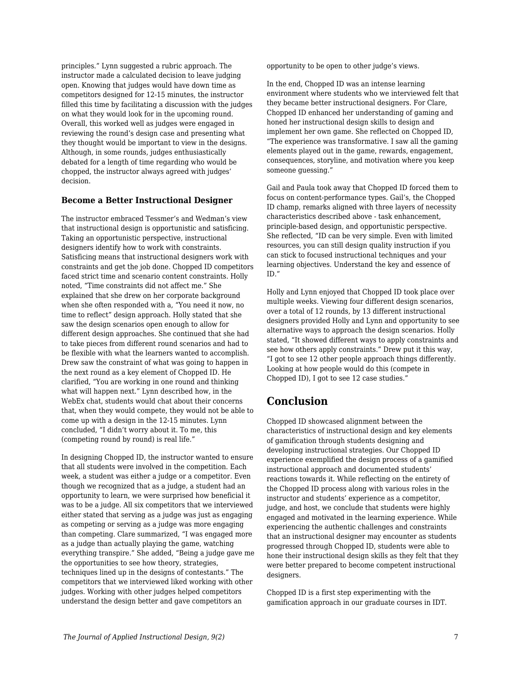principles." Lynn suggested a rubric approach. The instructor made a calculated decision to leave judging open. Knowing that judges would have down time as competitors designed for 12-15 minutes, the instructor filled this time by facilitating a discussion with the judges on what they would look for in the upcoming round. Overall, this worked well as judges were engaged in reviewing the round's design case and presenting what they thought would be important to view in the designs. Although, in some rounds, judges enthusiastically debated for a length of time regarding who would be chopped, the instructor always agreed with judges' decision.

### **Become a Better Instructional Designer**

The instructor embraced Tessmer's and Wedman's view that instructional design is opportunistic and satisficing. Taking an opportunistic perspective, instructional designers identify how to work with constraints. Satisficing means that instructional designers work with constraints and get the job done. Chopped ID competitors faced strict time and scenario content constraints. Holly noted, "Time constraints did not affect me." She explained that she drew on her corporate background when she often responded with a, "You need it now, no time to reflect" design approach. Holly stated that she saw the design scenarios open enough to allow for different design approaches. She continued that she had to take pieces from different round scenarios and had to be flexible with what the learners wanted to accomplish. Drew saw the constraint of what was going to happen in the next round as a key element of Chopped ID. He clarified, "You are working in one round and thinking what will happen next." Lynn described how, in the WebEx chat, students would chat about their concerns that, when they would compete, they would not be able to come up with a design in the 12-15 minutes. Lynn concluded, "I didn't worry about it. To me, this (competing round by round) is real life."

In designing Chopped ID, the instructor wanted to ensure that all students were involved in the competition. Each week, a student was either a judge or a competitor. Even though we recognized that as a judge, a student had an opportunity to learn, we were surprised how beneficial it was to be a judge. All six competitors that we interviewed either stated that serving as a judge was just as engaging as competing or serving as a judge was more engaging than competing. Clare summarized, "I was engaged more as a judge than actually playing the game, watching everything transpire." She added, "Being a judge gave me the opportunities to see how theory, strategies, techniques lined up in the designs of contestants." The competitors that we interviewed liked working with other judges. Working with other judges helped competitors understand the design better and gave competitors an

opportunity to be open to other judge's views.

In the end, Chopped ID was an intense learning environment where students who we interviewed felt that they became better instructional designers. For Clare, Chopped ID enhanced her understanding of gaming and honed her instructional design skills to design and implement her own game. She reflected on Chopped ID, "The experience was transformative. I saw all the gaming elements played out in the game, rewards, engagement, consequences, storyline, and motivation where you keep someone guessing."

Gail and Paula took away that Chopped ID forced them to focus on content-performance types. Gail's, the Chopped ID champ, remarks aligned with three layers of necessity characteristics described above - task enhancement, principle-based design, and opportunistic perspective. She reflected, "ID can be very simple. Even with limited resources, you can still design quality instruction if you can stick to focused instructional techniques and your learning objectives. Understand the key and essence of ID."

Holly and Lynn enjoyed that Chopped ID took place over multiple weeks. Viewing four different design scenarios, over a total of 12 rounds, by 13 different instructional designers provided Holly and Lynn and opportunity to see alternative ways to approach the design scenarios. Holly stated, "It showed different ways to apply constraints and see how others apply constraints." Drew put it this way, "I got to see 12 other people approach things differently. Looking at how people would do this (compete in Chopped ID), I got to see 12 case studies."

## **Conclusion**

Chopped ID showcased alignment between the characteristics of instructional design and key elements of gamification through students designing and developing instructional strategies. Our Chopped ID experience exemplified the design process of a gamified instructional approach and documented students' reactions towards it. While reflecting on the entirety of the Chopped ID process along with various roles in the instructor and students' experience as a competitor, judge, and host, we conclude that students were highly engaged and motivated in the learning experience. While experiencing the authentic challenges and constraints that an instructional designer may encounter as students progressed through Chopped ID, students were able to hone their instructional design skills as they felt that they were better prepared to become competent instructional designers.

Chopped ID is a first step experimenting with the gamification approach in our graduate courses in IDT.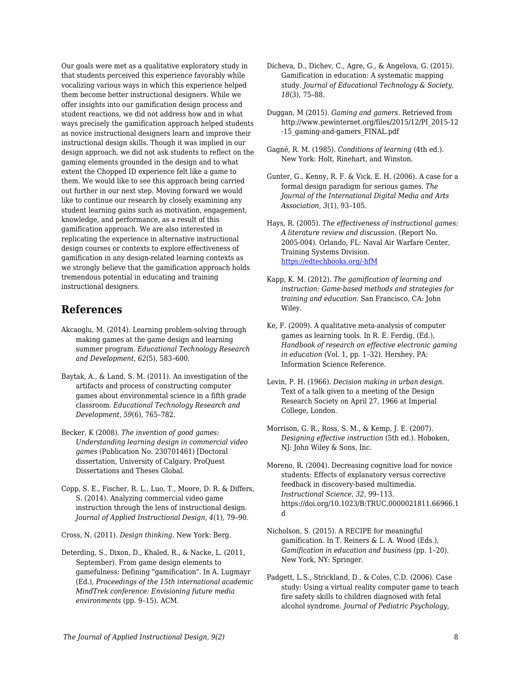Our goals were met as a qualitative exploratory study in that students perceived this experience favorably while vocalizing various ways in which this experience helped them become better instructional designers. While we offer insights into our gamification design process and student reactions, we did not address how and in what ways precisely the gamification approach helped students as novice instructional designers learn and improve their instructional design skills. Though it was implied in our design approach, we did not ask students to reflect on the gaming elements grounded in the design and to what extent the Chopped ID experience felt like a game to them. We would like to see this approach being carried out further in our next step. Moving forward we would like to continue our research by closely examining any student learning gains such as motivation, engagement, knowledge, and performance, as a result of this gamification approach. We are also interested in replicating the experience in alternative instructional design courses or contexts to explore effectiveness of gamification in any design-related learning contexts as we strongly believe that the gamification approach holds tremendous potential in educating and training instructional designers.

## **References**

- Akcaoglu, M. (2014). Learning problem-solving through making games at the game design and learning summer program. *Educational Technology Research and Development*, *62*(5), 583–600.
- Baytak, A., & Land, S. M. (2011). An investigation of the artifacts and process of constructing computer games about environmental science in a fifth grade classroom. *Educational Technology Research and Development*, *59*(6), 765–782.
- Becker, K (2008). *The invention of good games: Understanding learning design in commercial video games* (Publication No. 230701461) [Doctoral dissertation, University of Calgary. ProQuest Dissertations and Theses Global.
- Copp, S. E., Fischer, R. L., Luo, T., Moore, D. R. & Differs, S. (2014). Analyzing commercial video game instruction through the lens of instructional design. *Journal of Applied Instructional Design*, *4*(1), 79–90.

Cross, N. (2011). *Design thinking*. New York: Berg.

Deterding, S., Dixon, D., Khaled, R., & Nacke, L. (2011, September). From game design elements to gamefulness: Defining "gamification". In A. Lugmayr (Ed.), *Proceedings of the 15th international academic MindTrek conference: Envisioning future media environments* (pp. 9–15). ACM.

- Dicheva, D., Dichev, C., Agre, G., & Angelova, G. (2015). Gamification in education: A systematic mapping study. *Journal of Educational Technology & Society*, *18*(3), 75–88.
- Duggan, M (2015). *Gaming and gamers*. Retrieved from http://www.pewinternet.org/files/2015/12/PI\_2015-12 -15\_gaming-and-gamers\_FINAL.pdf
- Gagné, R. M. (1985). *Conditions of learning* (4th ed.). New York: Holt, Rinehart, and Winston.
- Gunter, G., Kenny, R. F. & Vick, E. H. (2006). A case for a formal design paradigm for serious games. *The Journal of the International Digital Media and Arts Association*, *3*(1), 93–105.
- Hays, R. (2005). *The effectiveness of instructional games: A literature review and discussion*. (Report No. 2005-004). Orlando, FL: Naval Air Warfare Center, Training Systems Division. [https://edtechbooks.org/-hfM](http://faculty.uoit.ca/kapralos/csci5530/Papers/hays_instructionalGames.pdf)
- Kapp, K. M. (2012). *The gamification of learning and instruction: Game-based methods and strategies for training and education*. San Francisco, CA: John Wiley.
- Ke, F. (2009). A qualitative meta-analysis of computer games as learning tools. In R. E. Ferdig, (Ed.), *Handbook of research on effective electronic gaming in education* (Vol. 1, pp. 1–32). Hershey, PA: Information Science Reference.
- Levin, P. H. (1966). *Decision making in urban design*. Text of a talk given to a meeting of the Design Research Society on April 27, 1966 at Imperial College, London.
- Morrison, G. R., Ross, S. M., & Kemp, J. E. (2007). *Designing effective instruction* (5th ed.). Hoboken, NJ: John Wiley & Sons, Inc.
- Moreno, R. (2004). Decreasing cognitive load for novice students: Effects of explanatory versus corrective feedback in discovery-based multimedia. *Instructional Science*, *32*, 99–113. https://doi.org/10.1023/B:TRUC.0000021811.66966.1 d
- Nicholson, S. (2015). A RECIPE for meaningful gamification. In T. Reiners & L. A. Wood (Eds.), *Gamification in education and business* (pp. 1–20). New York, NY: Springer.
- Padgett, L.S., Strickland, D., & Coles, C.D. (2006). Case study: Using a virtual reality computer game to teach fire safety skills to children diagnosed with fetal alcohol syndrome. *Journal of Pediatric Psychology*,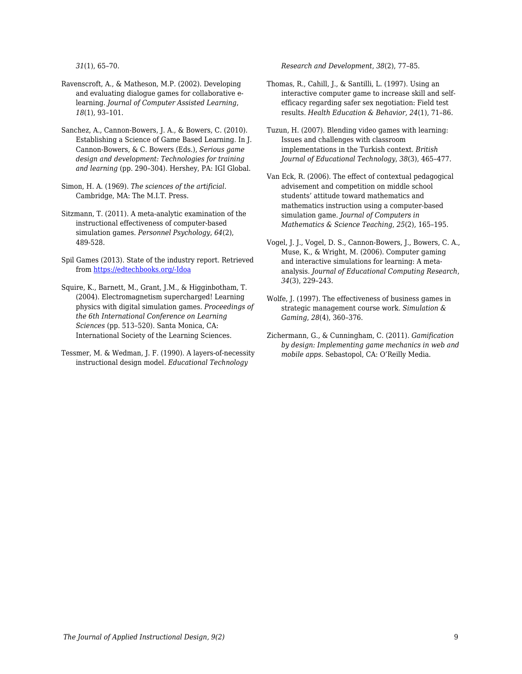*31*(1), 65–70.

- Ravenscroft, A., & Matheson, M.P. (2002). Developing and evaluating dialogue games for collaborative elearning. *Journal of Computer Assisted Learning*, *18*(1), 93–101.
- Sanchez, A., Cannon-Bowers, J. A., & Bowers, C. (2010). Establishing a Science of Game Based Learning. In J. Cannon-Bowers, & C. Bowers (Eds.), *Serious game design and development: Technologies for training and learning* (pp. 290–304). Hershey, PA: IGI Global.
- Simon, H. A. (1969). *The sciences of the artificial*. Cambridge, MA: The M.I.T. Press.
- Sitzmann, T. (2011). A meta-analytic examination of the instructional effectiveness of computer-based simulation games. *Personnel Psychology*, *64*(2), 489-528.
- Spil Games (2013). State of the industry report. Retrieved from [https://edtechbooks.org/-Idoa](http://auth-83051f68-ec6c-44e0-afe58902acff57.cdn.spilcloud.com/v1/archives/1384952861.25_State_of_Gaming_2013_US_FINAL.pdf)
- Squire, K., Barnett, M., Grant, J.M., & Higginbotham, T. (2004). Electromagnetism supercharged! Learning physics with digital simulation games. *Proceedings of the 6th International Conference on Learning Sciences* (pp. 513–520). Santa Monica, CA: International Society of the Learning Sciences.
- Tessmer, M. & Wedman, J. F. (1990). A layers-of-necessity instructional design model. *Educational Technology*

*Research and Development*, *38*(2), 77–85.

- Thomas, R., Cahill, J., & Santilli, L. (1997). Using an interactive computer game to increase skill and selfefficacy regarding safer sex negotiation: Field test results. *Health Education & Behavior, 24*(1), 71–86.
- Tuzun, H. (2007). Blending video games with learning: Issues and challenges with classroom implementations in the Turkish context. *British Journal of Educational Technology*, *38*(3), 465–477.
- Van Eck, R. (2006). The effect of contextual pedagogical advisement and competition on middle school students' attitude toward mathematics and mathematics instruction using a computer-based simulation game. *Journal of Computers in Mathematics & Science Teaching*, *25*(2), 165–195.
- Vogel, J. J., Vogel, D. S., Cannon-Bowers, J., Bowers, C. A., Muse, K., & Wright, M. (2006). Computer gaming and interactive simulations for learning: A metaanalysis. *Journal of Educational Computing Research*, *34*(3), 229–243.
- Wolfe, J. (1997). The effectiveness of business games in strategic management course work. *Simulation & Gaming*, *28*(4), 360–376.
- Zichermann, G., & Cunningham, C. (2011). *Gamification by design: Implementing game mechanics in web and mobile apps*. Sebastopol, CA: O'Reilly Media.